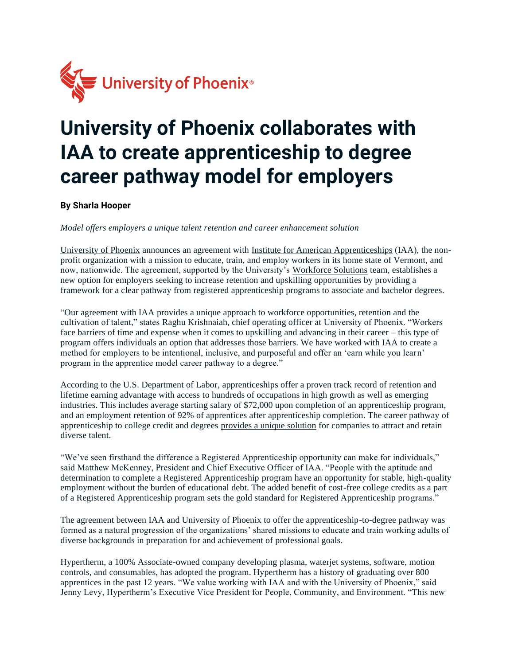

## **University of Phoenix collaborates with IAA to create apprenticeship to degree career pathway model for employers**

**By Sharla Hooper**

*Model offers employers a unique talent retention and career enhancement solution*

[University of Phoenix](https://c212.net/c/link/?t=0&l=en&o=3254085-1&h=1035839404&u=http%3A%2F%2Fwww.phoenix.edu%2F&a=University+of+Phoenix) announces an agreement with [Institute for American Apprenticeships](https://iaahitec.org/) (IAA), the nonprofit organization with a mission to educate, train, and employ workers in its home state of Vermont, and now, nationwide. The agreement, supported by the University's [Workforce Solutions](https://www.phoenix.edu/workforce-solutions.html) team, establishes a new option for employers seeking to increase retention and upskilling opportunities by providing a framework for a clear pathway from registered apprenticeship programs to associate and bachelor degrees.

"Our agreement with IAA provides a unique approach to workforce opportunities, retention and the cultivation of talent," states Raghu Krishnaiah, chief operating officer at University of Phoenix. "Workers face barriers of time and expense when it comes to upskilling and advancing in their career – this type of program offers individuals an option that addresses those barriers. We have worked with IAA to create a method for employers to be intentional, inclusive, and purposeful and offer an 'earn while you learn' program in the apprentice model career pathway to a degree."

[According to the U.S. Department of Labor,](https://www.apprenticeship.gov/) apprenticeships offer a proven track record of retention and lifetime earning advantage with access to hundreds of occupations in high growth as well as emerging industries. This includes average starting salary of \$72,000 upon completion of an apprenticeship program, and an employment retention of 92% of apprentices after apprenticeship completion. The career pathway of apprenticeship to college credit and degrees [provides a unique solution](https://www.edsurge.com/news/2021-08-19-new-effort-adds-college-credit-to-apprenticeship-programs) for companies to attract and retain diverse talent.

"We've seen firsthand the difference a Registered Apprenticeship opportunity can make for individuals," said Matthew McKenney, President and Chief Executive Officer of IAA. "People with the aptitude and determination to complete a Registered Apprenticeship program have an opportunity for stable, high-quality employment without the burden of educational debt. The added benefit of cost-free college credits as a part of a Registered Apprenticeship program sets the gold standard for Registered Apprenticeship programs."

The agreement between IAA and University of Phoenix to offer the apprenticeship-to-degree pathway was formed as a natural progression of the organizations' shared missions to educate and train working adults of diverse backgrounds in preparation for and achievement of professional goals.

Hypertherm, a 100% Associate-owned company developing plasma, waterjet systems, software, motion controls, and consumables, has adopted the program. Hypertherm has a history of graduating over 800 apprentices in the past 12 years. "We value working with IAA and with the University of Phoenix," said Jenny Levy, Hypertherm's Executive Vice President for People, Community, and Environment. "This new